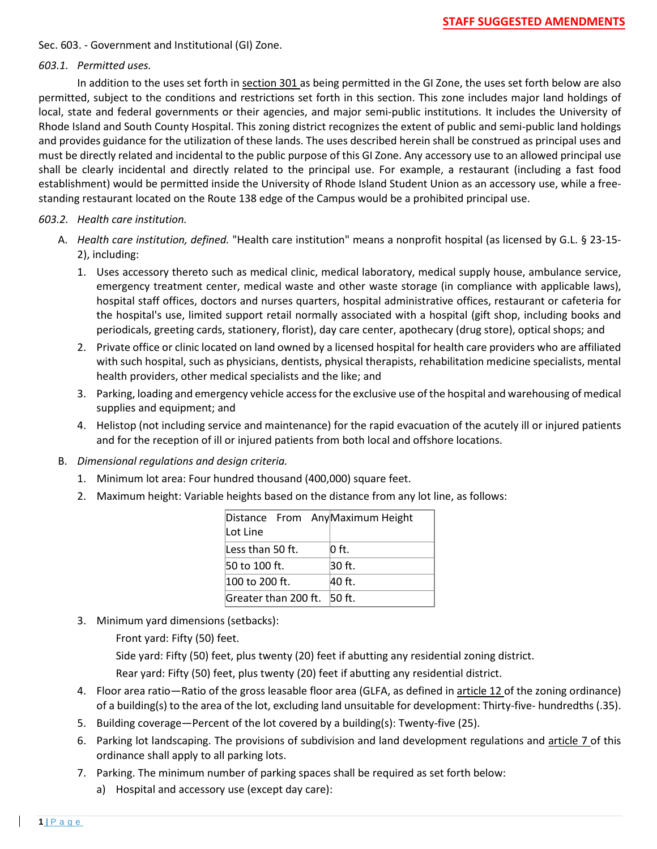Sec. 603. - Government and Institutional (GI) Zone.

## *603.1. Permitted uses.*

In addition to the uses set forth in section 301 as being permitted in the GI Zone, the uses set forth below are also permitted, subject to the conditions and restrictions set forth in this section. This zone includes major land holdings of local, state and federal governments or their agencies, and major semi-public institutions. It includes the University of Rhode Island and South County Hospital. This zoning district recognizes the extent of public and semi-public land holdings and provides guidance for the utilization of these lands. The uses described herein shall be construed as principal uses and must be directly related and incidental to the public purpose of this GI Zone. Any accessory use to an allowed principal use shall be clearly incidental and directly related to the principal use. For example, a restaurant (including a fast food establishment) would be permitted inside the University of Rhode Island Student Union as an accessory use, while a freestanding restaurant located on the Route 138 edge of the Campus would be a prohibited principal use.

## *603.2. Health care institution.*

- A. *Health care institution, defined.* "Health care institution" means a nonprofit hospital (as licensed by G.L. § 23-15- 2), including:
	- 1. Uses accessory thereto such as medical clinic, medical laboratory, medical supply house, ambulance service, emergency treatment center, medical waste and other waste storage (in compliance with applicable laws), hospital staff offices, doctors and nurses quarters, hospital administrative offices, restaurant or cafeteria for the hospital's use, limited support retail normally associated with a hospital (gift shop, including books and periodicals, greeting cards, stationery, florist), day care center, apothecary (drug store), optical shops; and
	- 2. Private office or clinic located on land owned by a licensed hospital for health care providers who are affiliated with such hospital, such as physicians, dentists, physical therapists, rehabilitation medicine specialists, mental health providers, other medical specialists and the like; and
	- 3. Parking, loading and emergency vehicle access for the exclusive use of the hospital and warehousing of medical supplies and equipment; and
	- 4. Helistop (not including service and maintenance) for the rapid evacuation of the acutely ill or injured patients and for the reception of ill or injured patients from both local and offshore locations.
- B. *Dimensional regulations and design criteria.*
	- 1. Minimum lot area: Four hundred thousand (400,000) square feet.
	- 2. Maximum height: Variable heights based on the distance from any lot line, as follows:

| Distance From AnyMaximum Height<br>Lot Line |        |
|---------------------------------------------|--------|
| Less than 50 ft.                            | 0 ft.  |
| 50 to 100 ft.                               | 30 ft. |
| 100 to 200 ft.                              | 40 ft. |
| Greater than 200 ft. 50 ft.                 |        |

3. Minimum yard dimensions (setbacks):

Front yard: Fifty (50) feet.

Side yard: Fifty (50) feet, plus twenty (20) feet if abutting any residential zoning district.

Rear yard: Fifty (50) feet, plus twenty (20) feet if abutting any residential district.

- 4. Floor area ratio—Ratio of the gross leasable floor area (GLFA, as defined in article 12 of the zoning ordinance) of a building(s) to the area of the lot, excluding land unsuitable for development: Thirty-five- hundredths (.35).
- 5. Building coverage—Percent of the lot covered by a building(s): Twenty-five (25).
- 6. Parking lot landscaping. The provisions of subdivision and land development regulations and article 7 of this ordinance shall apply to all parking lots.
- 7. Parking. The minimum number of parking spaces shall be required as set forth below:
	- a) Hospital and accessory use (except day care):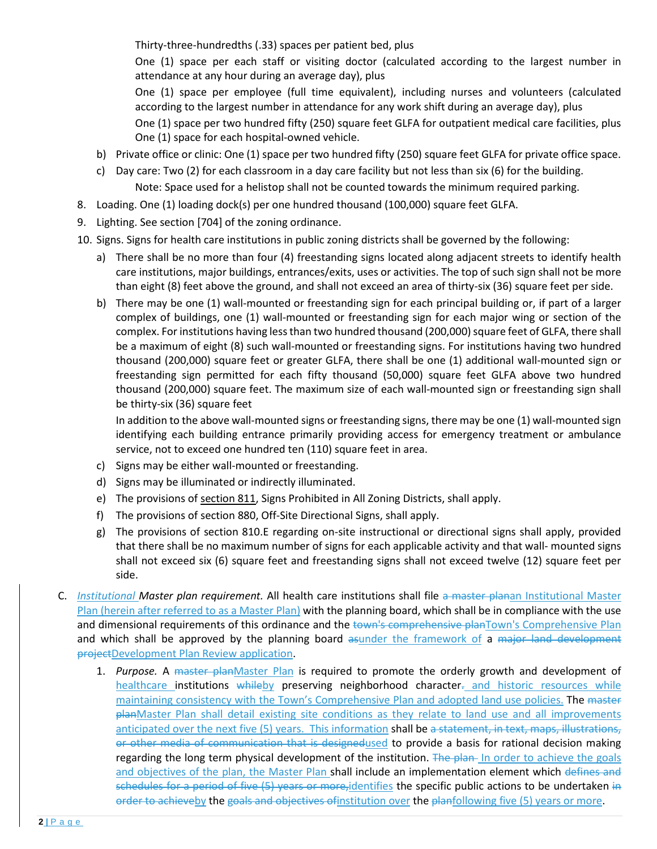Thirty-three-hundredths (.33) spaces per patient bed, plus

One (1) space per each staff or visiting doctor (calculated according to the largest number in attendance at any hour during an average day), plus

One (1) space per employee (full time equivalent), including nurses and volunteers (calculated according to the largest number in attendance for any work shift during an average day), plus

One (1) space per two hundred fifty (250) square feet GLFA for outpatient medical care facilities, plus One (1) space for each hospital-owned vehicle.

- b) Private office or clinic: One (1) space per two hundred fifty (250) square feet GLFA for private office space.
- c) Day care: Two (2) for each classroom in a day care facility but not less than six (6) for the building. Note: Space used for a helistop shall not be counted towards the minimum required parking.
- 8. Loading. One (1) loading dock(s) per one hundred thousand (100,000) square feet GLFA.
- 9. Lighting. See section [704] of the zoning ordinance.
- 10. Signs. Signs for health care institutions in public zoning districts shall be governed by the following:
	- a) There shall be no more than four (4) freestanding signs located along adjacent streets to identify health care institutions, major buildings, entrances/exits, uses or activities. The top of such sign shall not be more than eight (8) feet above the ground, and shall not exceed an area of thirty-six (36) square feet per side.
	- b) There may be one (1) wall-mounted or freestanding sign for each principal building or, if part of a larger complex of buildings, one (1) wall-mounted or freestanding sign for each major wing or section of the complex. For institutions having less than two hundred thousand (200,000) square feet of GLFA, there shall be a maximum of eight (8) such wall-mounted or freestanding signs. For institutions having two hundred thousand (200,000) square feet or greater GLFA, there shall be one (1) additional wall-mounted sign or freestanding sign permitted for each fifty thousand (50,000) square feet GLFA above two hundred thousand (200,000) square feet. The maximum size of each wall-mounted sign or freestanding sign shall be thirty-six (36) square feet

In addition to the above wall-mounted signs or freestanding signs, there may be one (1) wall-mounted sign identifying each building entrance primarily providing access for emergency treatment or ambulance service, not to exceed one hundred ten (110) square feet in area.

- c) Signs may be either wall-mounted or freestanding.
- d) Signs may be illuminated or indirectly illuminated.
- e) The provisions of section 811, Signs Prohibited in All Zoning Districts, shall apply.
- f) The provisions of section 880, Off-Site Directional Signs, shall apply.
- g) The provisions of section 810.E regarding on-site instructional or directional signs shall apply, provided that there shall be no maximum number of signs for each applicable activity and that wall- mounted signs shall not exceed six (6) square feet and freestanding signs shall not exceed twelve (12) square feet per side.
- C. *Institutional Master plan requirement.* All health care institutions shall file a master planan Institutional Master Plan (herein after referred to as a Master Plan) with the planning board, which shall be in compliance with the use and dimensional requirements of this ordinance and the town's comprehensive planTown's Comprehensive Plan and which shall be approved by the planning board asunder the framework of a major land development projectDevelopment Plan Review application.
	- 1. *Purpose.* A master planMaster Plan is required to promote the orderly growth and development of healthcare institutions whileby preserving neighborhood character- and historic resources while maintaining consistency with the Town's Comprehensive Plan and adopted land use policies. The master planMaster Plan shall detail existing site conditions as they relate to land use and all improvements anticipated over the next five (5) years. This information shall be a statement, in text, maps, illustrations, or other media of communication that is designedused to provide a basis for rational decision making regarding the long term physical development of the institution. The plan- In order to achieve the goals and objectives of the plan, the Master Plan shall include an implementation element which defines and schedules for a period of five (5) years or more, identifies the specific public actions to be undertaken in order to achieveby the goals and objectives of institution over the planfollowing five (5) years or more.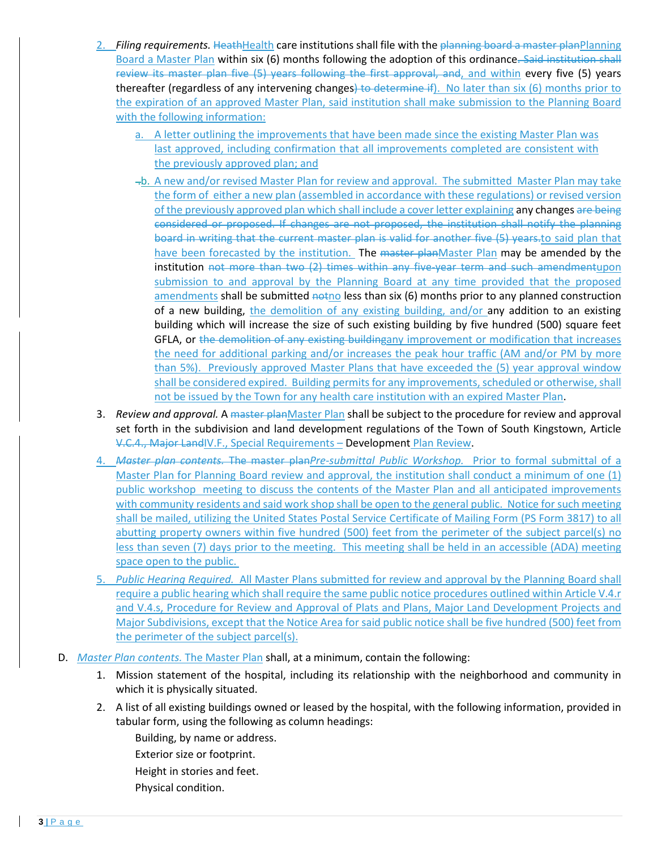- 2. *Filing requirements.* HeathHealth care institutions shall file with the planning board a master planPlanning Board a Master Plan within six (6) months following the adoption of this ordinance. Said institution shall review its master plan five (5) years following the first approval, and, and within every five (5) years thereafter (regardless of any intervening changes) to determine if). No later than six (6) months prior to the expiration of an approved Master Plan, said institution shall make submission to the Planning Board with the following information:
	- a. A letter outlining the improvements that have been made since the existing Master Plan was last approved, including confirmation that all improvements completed are consistent with the previously approved plan; and
	- $-$ b. A new and/or revised Master Plan for review and approval. The submitted Master Plan may take the form of either a new plan (assembled in accordance with these regulations) or revised version of the previously approved plan which shall include a cover letter explaining any changes are being considered or proposed. If changes are not proposed, the institution shall notify the planning board in writing that the current master plan is valid for another five (5) years.to said plan that have been forecasted by the institution. The master planMaster Plan may be amended by the institution not more than two (2) times within any five-year term and such amendmentupon submission to and approval by the Planning Board at any time provided that the proposed amendments shall be submitted notholess than six (6) months prior to any planned construction of a new building, the demolition of any existing building, and/or any addition to an existing building which will increase the size of such existing building by five hundred (500) square feet GFLA, or the demolition of any existing buildingany improvement or modification that increases the need for additional parking and/or increases the peak hour traffic (AM and/or PM by more than 5%). Previously approved Master Plans that have exceeded the (5) year approval window shall be considered expired. Building permits for any improvements, scheduled or otherwise, shall not be issued by the Town for any health care institution with an expired Master Plan.
- 3. *Review and approval.* A master planMaster Plan shall be subject to the procedure for review and approval set forth in the subdivision and land development regulations of the Town of South Kingstown, Article V.C.4., Major LandIV.F., Special Requirements – Development Plan Review.
- 4. *Master plan contents.* The master plan*Pre-submittal Public Workshop.* Prior to formal submittal of a Master Plan for Planning Board review and approval, the institution shall conduct a minimum of one (1) public workshop meeting to discuss the contents of the Master Plan and all anticipated improvements with community residents and said work shop shall be open to the general public. Notice for such meeting shall be mailed, utilizing the United States Postal Service Certificate of Mailing Form (PS Form 3817) to all abutting property owners within five hundred (500) feet from the perimeter of the subject parcel(s) no less than seven (7) days prior to the meeting. This meeting shall be held in an accessible (ADA) meeting space open to the public.
- 5. *Public Hearing Required.* All Master Plans submitted for review and approval by the Planning Board shall require a public hearing which shall require the same public notice procedures outlined within Article V.4.r and V.4.s, Procedure for Review and Approval of Plats and Plans, Major Land Development Projects and Major Subdivisions, except that the Notice Area for said public notice shall be five hundred (500) feet from the perimeter of the subject parcel(s).
- D. *Master Plan contents.* The Master Plan shall, at a minimum, contain the following:
	- 1. Mission statement of the hospital, including its relationship with the neighborhood and community in which it is physically situated.
	- 2. A list of all existing buildings owned or leased by the hospital, with the following information, provided in tabular form, using the following as column headings:
		- Building, by name or address.
		- Exterior size or footprint.
		- Height in stories and feet.
		- Physical condition.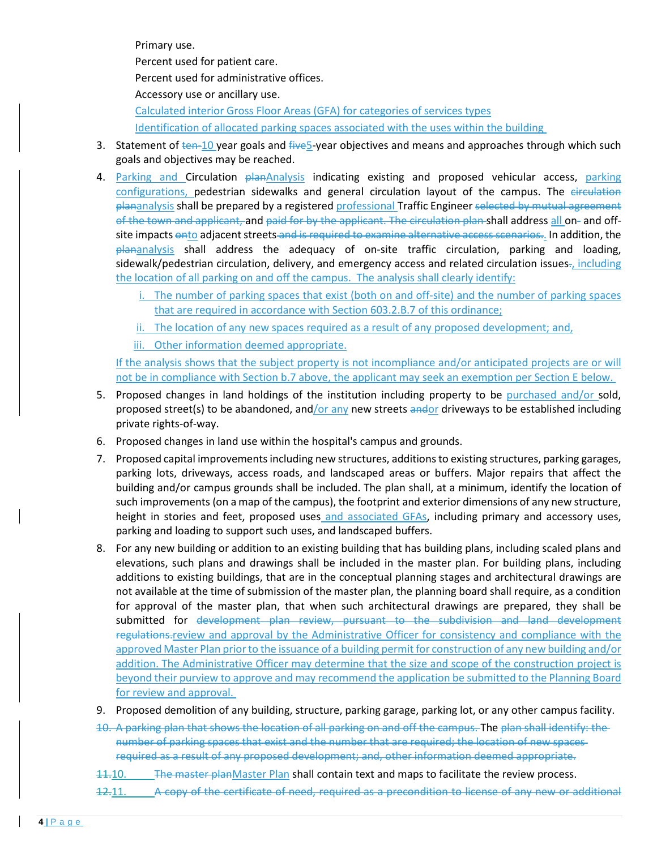Primary use.

Percent used for patient care.

Percent used for administrative offices.

Accessory use or ancillary use.

Calculated interior Gross Floor Areas (GFA) for categories of services types

Identification of allocated parking spaces associated with the uses within the building

- 3. Statement of  $t_{en-10}$  year goals and  $f_{iwe}$  year objectives and means and approaches through which such goals and objectives may be reached.
- 4. Parking and Circulation planAnalysis indicating existing and proposed vehicular access, parking configurations, pedestrian sidewalks and general circulation layout of the campus. The circulation plananalysis shall be prepared by a registered professional Traffic Engineer selected by mutual agreement of the town and applicant, and paid for by the applicant. The circulation plan shall address all on- and offsite impacts onto adjacent streets and is required to examine alternative access scenarios.. In addition, the plananalysis shall address the adequacy of on-site traffic circulation, parking and loading, sidewalk/pedestrian circulation, delivery, and emergency access and related circulation issues-, including the location of all parking on and off the campus. The analysis shall clearly identify:
	- i. The number of parking spaces that exist (both on and off-site) and the number of parking spaces that are required in accordance with Section 603.2.B.7 of this ordinance;
	- ii. The location of any new spaces required as a result of any proposed development; and,
	- iii. Other information deemed appropriate.

If the analysis shows that the subject property is not incompliance and/or anticipated projects are or will not be in compliance with Section b.7 above, the applicant may seek an exemption per Section E below.

- 5. Proposed changes in land holdings of the institution including property to be purchased and/or sold, proposed street(s) to be abandoned, and/or any new streets andor driveways to be established including private rights-of-way.
- 6. Proposed changes in land use within the hospital's campus and grounds.
- 7. Proposed capital improvements including new structures, additions to existing structures, parking garages, parking lots, driveways, access roads, and landscaped areas or buffers. Major repairs that affect the building and/or campus grounds shall be included. The plan shall, at a minimum, identify the location of such improvements (on a map of the campus), the footprint and exterior dimensions of any new structure, height in stories and feet, proposed uses and associated GFAs, including primary and accessory uses, parking and loading to support such uses, and landscaped buffers.
- 8. For any new building or addition to an existing building that has building plans, including scaled plans and elevations, such plans and drawings shall be included in the master plan. For building plans, including additions to existing buildings, that are in the conceptual planning stages and architectural drawings are not available at the time of submission of the master plan, the planning board shall require, as a condition for approval of the master plan, that when such architectural drawings are prepared, they shall be submitted for development plan review, pursuant to the subdivision and land development regulations. review and approval by the Administrative Officer for consistency and compliance with the approved Master Plan prior to the issuance of a building permit for construction of any new building and/or addition. The Administrative Officer may determine that the size and scope of the construction project is beyond their purview to approve and may recommend the application be submitted to the Planning Board for review and approval.
- 9. Proposed demolition of any building, structure, parking garage, parking lot, or any other campus facility.
- 10. A parking plan that shows the location of all parking on and off the campus. The plan shall identify: the number of parking spaces that exist and the number that are required; the location of new spaces required as a result of any proposed development; and, other information deemed appropriate.
- 11.10. The master planMaster Plan shall contain text and maps to facilitate the review process.
- 12.11. A copy of the certificate of need, required as a precondition to license of any new or additional